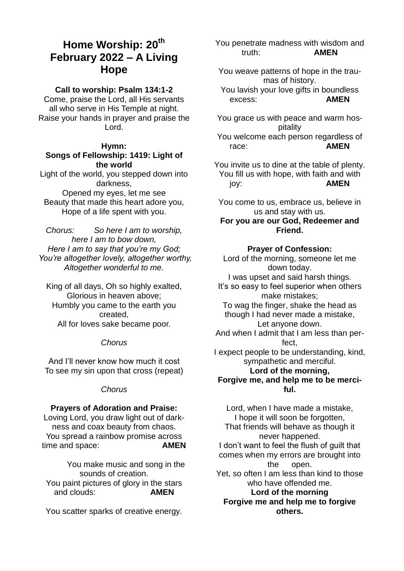# **Home Worship: 20th February 2022 – A Living Hope**

## **Call to worship: Psalm 134:1-2**

Come, praise the Lord, all His servants all who serve in His Temple at night. Raise your hands in prayer and praise the Lord.

## **Hymn:**

## **Songs of Fellowship: 1419: Light of the world**

Light of the world, you stepped down into darkness, Opened my eyes, let me see Beauty that made this heart adore you, Hope of a life spent with you.

*Chorus: So here I am to worship, here I am to bow down, Here I am to say that you're my God; You're altogether lovely, altogether worthy, Altogether wonderful to me.*

King of all days, Oh so highly exalted, Glorious in heaven above; Humbly you came to the earth you created, All for loves sake became poor.

## *Chorus*

And I'll never know how much it cost To see my sin upon that cross (repeat)

## *Chorus*

## **Prayers of Adoration and Praise:**

Loving Lord, you draw light out of darkness and coax beauty from chaos. You spread a rainbow promise across time and space: **AMEN**

You make music and song in the sounds of creation. You paint pictures of glory in the stars and clouds: **AMEN**

You scatter sparks of creative energy.

You penetrate madness with wisdom and truth: **AMEN**

You weave patterns of hope in the traumas of history. You lavish your love gifts in boundless

excess: **AMEN**

You grace us with peace and warm hospitality You welcome each person regardless of

race: **AMEN**

You invite us to dine at the table of plenty. You fill us with hope, with faith and with joy: **AMEN**

You come to us, embrace us, believe in us and stay with us. **For you are our God, Redeemer and Friend.**

## **Prayer of Confession:**

Lord of the morning, someone let me down today. I was upset and said harsh things. It's so easy to feel superior when others make mistakes; To wag the finger, shake the head as though I had never made a mistake, Let anyone down. And when I admit that I am less than perfect, I expect people to be understanding, kind, sympathetic and merciful. **Lord of the morning,**

**Forgive me, and help me to be merciful.**

Lord, when I have made a mistake, I hope it will soon be forgotten, That friends will behave as though it never happened. I don't want to feel the flush of guilt that comes when my errors are brought into the open. Yet, so often I am less than kind to those who have offended me. **Lord of the morning**

**Forgive me and help me to forgive others.**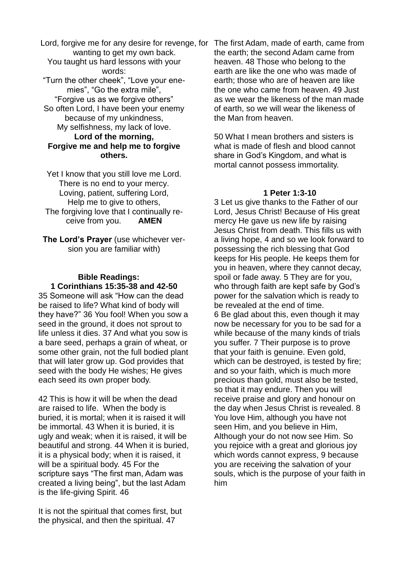Lord, forgive me for any desire for revenge, for The first Adam, made of earth, came from wanting to get my own back. You taught us hard lessons with your words: "Turn the other cheek", "Love your enemies", "Go the extra mile", "Forgive us as we forgive others" So often Lord, I have been your enemy because of my unkindness, My selfishness, my lack of love. **Lord of the morning, Forgive me and help me to forgive others.**

Yet I know that you still love me Lord. There is no end to your mercy. Loving, patient, suffering Lord, Help me to give to others, The forgiving love that I continually receive from you. **AMEN**

**The Lord's Prayer** (use whichever version you are familiar with)

## **Bible Readings: 1 Corinthians 15:35-38 and 42-50**

35 Someone will ask "How can the dead be raised to life? What kind of body will they have?" 36 You fool! When you sow a seed in the ground, it does not sprout to life unless it dies. 37 And what you sow is a bare seed, perhaps a grain of wheat, or some other grain, not the full bodied plant that will later grow up. God provides that seed with the body He wishes; He gives each seed its own proper body.

42 This is how it will be when the dead are raised to life. When the body is buried, it is mortal; when it is raised it will be immortal. 43 When it is buried, it is ugly and weak; when it is raised, it will be beautiful and strong. 44 When it is buried, it is a physical body; when it is raised, it will be a spiritual body. 45 For the scripture says "The first man, Adam was created a living being", but the last Adam is the life-giving Spirit. 46

It is not the spiritual that comes first, but the physical, and then the spiritual. 47

the earth; the second Adam came from heaven. 48 Those who belong to the earth are like the one who was made of earth; those who are of heaven are like the one who came from heaven. 49 Just as we wear the likeness of the man made of earth, so we will wear the likeness of the Man from heaven.

50 What I mean brothers and sisters is what is made of flesh and blood cannot share in God's Kingdom, and what is mortal cannot possess immortality.

#### **1 Peter 1:3-10**

3 Let us give thanks to the Father of our Lord, Jesus Christ! Because of His great mercy He gave us new life by raising Jesus Christ from death. This fills us with a living hope, 4 and so we look forward to possessing the rich blessing that God keeps for His people. He keeps them for you in heaven, where they cannot decay, spoil or fade away. 5 They are for you, who through faith are kept safe by God's power for the salvation which is ready to be revealed at the end of time. 6 Be glad about this, even though it may now be necessary for you to be sad for a while because of the many kinds of trials you suffer. 7 Their purpose is to prove that your faith is genuine. Even gold, which can be destroyed, is tested by fire; and so your faith, which is much more precious than gold, must also be tested, so that it may endure. Then you will receive praise and glory and honour on the day when Jesus Christ is revealed. 8 You love Him, although you have not seen Him, and you believe in Him, Although your do not now see Him. So you rejoice with a great and glorious joy which words cannot express, 9 because you are receiving the salvation of your souls, which is the purpose of your faith in him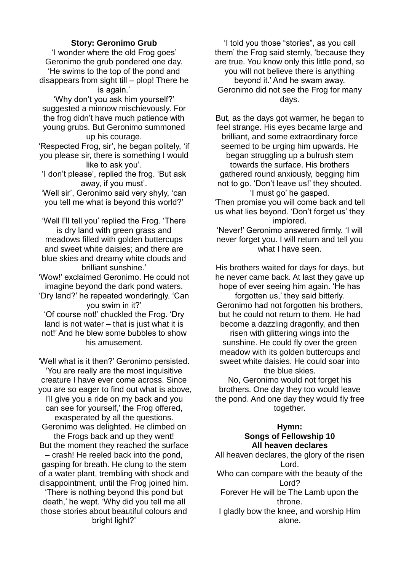#### **Story: Geronimo Grub**

'I wonder where the old Frog goes' Geronimo the grub pondered one day. 'He swims to the top of the pond and disappears from sight till – plop! There he is again.'

'Why don't you ask him yourself?' suggested a minnow mischievously. For the frog didn't have much patience with young grubs. But Geronimo summoned up his courage.

'Respected Frog, sir', he began politely, 'if you please sir, there is something I would like to ask you'.

'I don't please', replied the frog. 'But ask away, if you must'.

'Well sir', Geronimo said very shyly, 'can you tell me what is beyond this world?'

'Well I'll tell you' replied the Frog. 'There is dry land with green grass and meadows filled with golden buttercups and sweet white daisies; and there are blue skies and dreamy white clouds and brilliant sunshine.'

'Wow!' exclaimed Geronimo. He could not imagine beyond the dark pond waters. 'Dry land?' he repeated wonderingly. 'Can you swim in it?' 'Of course not!' chuckled the Frog. 'Dry land is not water – that is just what it is not!' And he blew some bubbles to show his amusement.

'Well what is it then?' Geronimo persisted. 'You are really are the most inquisitive creature I have ever come across. Since you are so eager to find out what is above, I'll give you a ride on my back and you can see for yourself,' the Frog offered, exasperated by all the questions. Geronimo was delighted. He climbed on the Frogs back and up they went! But the moment they reached the surface – crash! He reeled back into the pond, gasping for breath. He clung to the stem of a water plant, trembling with shock and disappointment, until the Frog joined him. 'There is nothing beyond this pond but

death,' he wept. 'Why did you tell me all those stories about beautiful colours and bright light?'

'I told you those "stories", as you call them' the Frog said sternly, 'because they are true. You know only this little pond, so you will not believe there is anything beyond it.' And he swam away. Geronimo did not see the Frog for many days.

But, as the days got warmer, he began to feel strange. His eyes became large and brilliant, and some extraordinary force seemed to be urging him upwards. He began struggling up a bulrush stem towards the surface. His brothers gathered round anxiously, begging him not to go. 'Don't leave us!' they shouted.

'I must go' he gasped. 'Then promise you will come back and tell us what lies beyond. 'Don't forget us' they implored.

'Never!' Geronimo answered firmly. 'I will never forget you. I will return and tell you what I have seen.

His brothers waited for days for days, but he never came back. At last they gave up hope of ever seeing him again. 'He has forgotten us,' they said bitterly. Geronimo had not forgotten his brothers, but he could not return to them. He had become a dazzling dragonfly, and then risen with glittering wings into the sunshine. He could fly over the green meadow with its golden buttercups and sweet white daisies. He could soar into the blue skies.

No, Geronimo would not forget his brothers. One day they too would leave the pond. And one day they would fly free together.

#### **Hymn: Songs of Fellowship 10 All heaven declares**

All heaven declares, the glory of the risen Lord.

Who can compare with the beauty of the Lord?

Forever He will be The Lamb upon the throne.

I gladly bow the knee, and worship Him alone.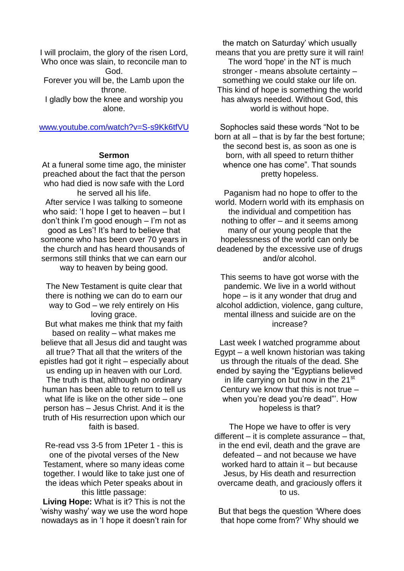I will proclaim, the glory of the risen Lord, Who once was slain, to reconcile man to God.

Forever you will be, the Lamb upon the throne.

I gladly bow the knee and worship you alone.

[www.youtube.com/watch?v=S-s9Kk6tfVU](http://www.youtube.com/watch?v=S-s9Kk6tfVU)

#### **Sermon**

At a funeral some time ago, the minister preached about the fact that the person who had died is now safe with the Lord he served all his life. After service I was talking to someone who said: 'I hope I get to heaven – but I don't think I'm good enough – I'm not as good as Les'! It's hard to believe that someone who has been over 70 years in the church and has heard thousands of sermons still thinks that we can earn our way to heaven by being good.

The New Testament is quite clear that there is nothing we can do to earn our way to God – we rely entirely on His loving grace. But what makes me think that my faith based on reality – what makes me believe that all Jesus did and taught was all true? That all that the writers of the epistles had got it right – especially about us ending up in heaven with our Lord. The truth is that, although no ordinary human has been able to return to tell us what life is like on the other side – one person has – Jesus Christ. And it is the truth of His resurrection upon which our faith is based.

Re-read vss 3-5 from 1Peter 1 - this is one of the pivotal verses of the New Testament, where so many ideas come together. I would like to take just one of the ideas which Peter speaks about in this little passage:

**Living Hope:** What is it? This is not the 'wishy washy' way we use the word hope nowadays as in 'I hope it doesn't rain for

the match on Saturday' which usually means that you are pretty sure it will rain! The word 'hope' in the NT is much stronger - means absolute certainty – something we could stake our life on. This kind of hope is something the world has always needed. Without God, this world is without hope.

Sophocles said these words "Not to be born at all – that is by far the best fortune; the second best is, as soon as one is born, with all speed to return thither whence one has come". That sounds pretty hopeless.

Paganism had no hope to offer to the world. Modern world with its emphasis on the individual and competition has nothing to offer – and it seems among many of our young people that the hopelessness of the world can only be deadened by the excessive use of drugs and/or alcohol.

This seems to have got worse with the pandemic. We live in a world without hope – is it any wonder that drug and alcohol addiction, violence, gang culture, mental illness and suicide are on the increase?

Last week I watched programme about Egypt – a well known historian was taking us through the rituals of the dead. She ended by saying the "Egyptians believed in life carrying on but now in the  $21^{st}$ Century we know that this is not true – when you're dead you're dead"'. How hopeless is that?

The Hope we have to offer is very different – it is complete assurance – that, in the end evil, death and the grave are defeated – and not because we have worked hard to attain it – but because Jesus, by His death and resurrection overcame death, and graciously offers it to us.

But that begs the question 'Where does that hope come from?' Why should we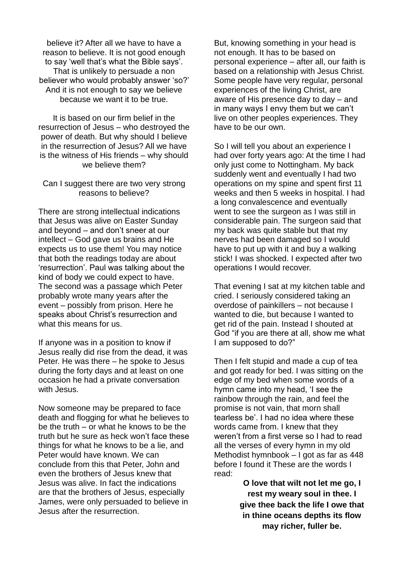believe it? After all we have to have a reason to believe. It is not good enough to say 'well that's what the Bible says'. That is unlikely to persuade a non believer who would probably answer 'so?' And it is not enough to say we believe because we want it to be true.

It is based on our firm belief in the resurrection of Jesus – who destroyed the power of death. But why should I believe in the resurrection of Jesus? All we have is the witness of His friends – why should we believe them?

Can I suggest there are two very strong reasons to believe?

There are strong intellectual indications that Jesus was alive on Easter Sunday and beyond – and don't sneer at our intellect – God gave us brains and He expects us to use them! You may notice that both the readings today are about 'resurrection'. Paul was talking about the kind of body we could expect to have. The second was a passage which Peter probably wrote many years after the event – possibly from prison. Here he speaks about Christ's resurrection and what this means for us.

If anyone was in a position to know if Jesus really did rise from the dead, it was Peter. He was there – he spoke to Jesus during the forty days and at least on one occasion he had a private conversation with Jesus.

Now someone may be prepared to face death and flogging for what he believes to be the truth – or what he knows to be the truth but he sure as heck won't face these things for what he knows to be a lie, and Peter would have known. We can conclude from this that Peter, John and even the brothers of Jesus knew that Jesus was alive. In fact the indications are that the brothers of Jesus, especially James, were only persuaded to believe in Jesus after the resurrection.

But, knowing something in your head is not enough. It has to be based on personal experience – after all, our faith is based on a relationship with Jesus Christ. Some people have very regular, personal experiences of the living Christ, are aware of His presence day to day – and in many ways I envy them but we can't live on other peoples experiences. They have to be our own.

So I will tell you about an experience I had over forty years ago: At the time I had only just come to Nottingham. My back suddenly went and eventually I had two operations on my spine and spent first 11 weeks and then 5 weeks in hospital. I had a long convalescence and eventually went to see the surgeon as I was still in considerable pain. The surgeon said that my back was quite stable but that my nerves had been damaged so I would have to put up with it and buy a walking stick! I was shocked. I expected after two operations I would recover.

That evening I sat at my kitchen table and cried. I seriously considered taking an overdose of painkillers – not because I wanted to die, but because I wanted to get rid of the pain. Instead I shouted at God "if you are there at all, show me what I am supposed to do?"

Then I felt stupid and made a cup of tea and got ready for bed. I was sitting on the edge of my bed when some words of a hymn came into my head, 'I see the rainbow through the rain, and feel the promise is not vain, that morn shall tearless be'. I had no idea where these words came from. I knew that they weren't from a first verse so I had to read all the verses of every hymn in my old Methodist hymnbook – I got as far as 448 before I found it These are the words I read:

> **O love that wilt not let me go, I rest my weary soul in thee. I give thee back the life I owe that in thine oceans depths its flow may richer, fuller be.**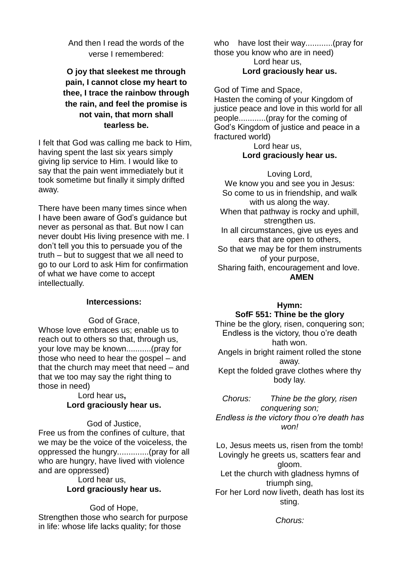And then I read the words of the verse I remembered:

## **O joy that sleekest me through pain, I cannot close my heart to thee, I trace the rainbow through the rain, and feel the promise is not vain, that morn shall tearless be.**

I felt that God was calling me back to Him, having spent the last six years simply giving lip service to Him. I would like to say that the pain went immediately but it took sometime but finally it simply drifted away.

There have been many times since when I have been aware of God's guidance but never as personal as that. But now I can never doubt His living presence with me. I don't tell you this to persuade you of the truth – but to suggest that we all need to go to our Lord to ask Him for confirmation of what we have come to accept intellectually.

## **Intercessions:**

God of Grace, Whose love embraces us; enable us to reach out to others so that, through us, your love may be known...........(pray for those who need to hear the gospel – and that the church may meet that need – and that we too may say the right thing to those in need)

#### Lord hear us**, Lord graciously hear us.**

God of Justice, Free us from the confines of culture, that we may be the voice of the voiceless, the oppressed the hungry..............(pray for all who are hungry, have lived with violence and are oppressed)

Lord hear us,

## **Lord graciously hear us.**

God of Hope, Strengthen those who search for purpose in life: whose life lacks quality; for those

who have lost their way.............(pray for those you know who are in need) Lord hear us,

## **Lord graciously hear us.**

God of Time and Space, Hasten the coming of your Kingdom of justice peace and love in this world for all people............(pray for the coming of God's Kingdom of justice and peace in a fractured world)

## Lord hear us, **Lord graciously hear us.**

Loving Lord, We know you and see you in Jesus: So come to us in friendship, and walk with us along the way. When that pathway is rocky and uphill, strengthen us. In all circumstances, give us eyes and ears that are open to others, So that we may be for them instruments of your purpose, Sharing faith, encouragement and love. **AMEN**

## **Hymn: SofF 551: Thine be the glory**

Thine be the glory, risen, conquering son; Endless is the victory, thou o're death hath won. Angels in bright raiment rolled the stone away.

Kept the folded grave clothes where thy body lay.

*Chorus: Thine be the glory, risen conquering son; Endless is the victory thou o're death has won!*

Lo, Jesus meets us, risen from the tomb! Lovingly he greets us, scatters fear and gloom.

Let the church with gladness hymns of triumph sing,

For her Lord now liveth, death has lost its sting.

*Chorus:*